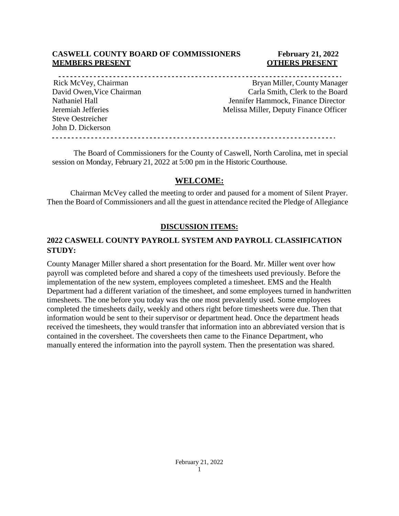#### **CASWELL COUNTY BOARD OF COMMISSIONERS February 21, 2022 MEMBERS PRESENT COTHERS PRESENT**

Steve Oestreicher John D. Dickerson

Rick McVey, Chairman Bryan Miller, County Manager David Owen,Vice Chairman Carla Smith, Clerk to the Board Nathaniel Hall Jennifer Hammock, Finance Director Jeremiah Jefferies Melissa Miller, Deputy Finance Officer

The Board of Commissioners for the County of Caswell, North Carolina, met in special session on Monday, February 21, 2022 at 5:00 pm in the Historic Courthouse.

#### **WELCOME:**

Chairman McVey called the meeting to order and paused for a moment of Silent Prayer. Then the Board of Commissioners and all the guest in attendance recited the Pledge of Allegiance

#### **DISCUSSION ITEMS:**

### **2022 CASWELL COUNTY PAYROLL SYSTEM AND PAYROLL CLASSIFICATION STUDY:**

County Manager Miller shared a short presentation for the Board. Mr. Miller went over how payroll was completed before and shared a copy of the timesheets used previously. Before the implementation of the new system, employees completed a timesheet. EMS and the Health Department had a different variation of the timesheet, and some employees turned in handwritten timesheets. The one before you today was the one most prevalently used. Some employees completed the timesheets daily, weekly and others right before timesheets were due. Then that information would be sent to their supervisor or department head. Once the department heads received the timesheets, they would transfer that information into an abbreviated version that is contained in the coversheet. The coversheets then came to the Finance Department, who manually entered the information into the payroll system. Then the presentation was shared.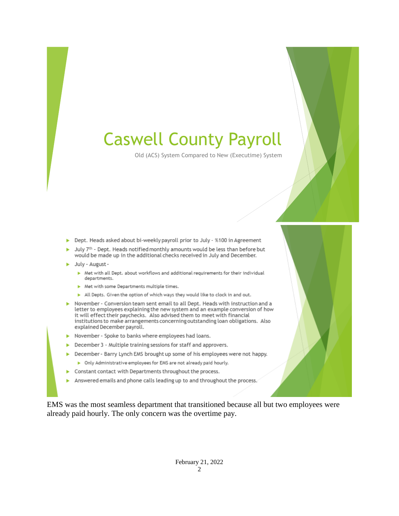# Caswell County Payroll

Old (ACS) System Compared to New (Executime) System

- > Dept. Heads asked about bi-weekly payroll prior to July %100 in Agreement
- July 7th Dept. Heads notified monthly amounts would be less than before but would be made up in the additional checks received in July and December.
- > July August -
	- > Met with all Dept. about workflows and additional requirements for their individual departments.
	- Met with some Departments multiple times.
	- All Depts. Given the option of which ways they would like to clock in and out.
- November Conversion team sent email to all Dept. Heads with instruction and a letter to employees explaining the new system and an example conversion of how it will effect their paychecks. Also advised them to meet with financial institutions to make arrangements concerning outstanding loan obligations. Also explained December payroll.
- November Spoke to banks where employees had loans.
- $\blacktriangleright$  December 3 Multiple training sessions for staff and approvers.
- > December Barry Lynch EMS brought up some of his employees were not happy.
- > Only Administrative employees for EMS are not already paid hourly.
- Constant contact with Departments throughout the process.
- Answered emails and phone calls leading up to and throughout the process.

EMS was the most seamless department that transitioned because all but two employees were already paid hourly. The only concern was the overtime pay.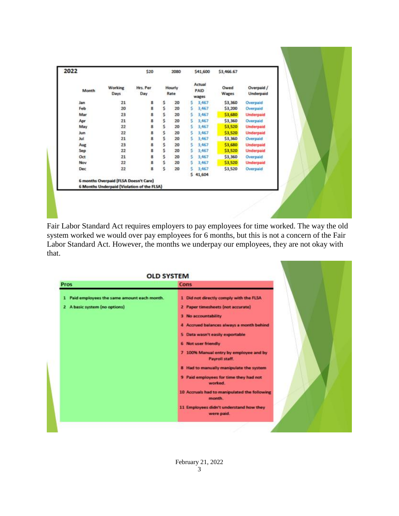| 2022 |       |                                              | \$20            |    | 2080           |   | \$41,600                | \$3,466.67    |                         |
|------|-------|----------------------------------------------|-----------------|----|----------------|---|-------------------------|---------------|-------------------------|
|      | Month | Working<br>Days                              | Hrs. Per<br>Day |    | Hourly<br>Rate |   | Actual<br>PAID<br>wages | Owed<br>Wages | Overpaid /<br>Underpaid |
| Jan  |       | 21                                           | os os           | \$ | 20             | s | 3,467                   | \$3,360       | Overpaid                |
| Feb  |       | 20                                           |                 | s  | 20             | s | 3,467                   | \$3,200       | Overpaid                |
|      | Mar   | 23                                           | 8               | Š  | 20             | Ś | 3,467                   | \$3,680       | <b>Underpaid</b>        |
| Apr  |       | 21                                           | 8               | s  | 20             | s | 3,467                   | \$3,360       | Overpaid                |
|      | May   | 22                                           | 8               | s  | 20             | s | 3,467                   | \$3,520       | <b>Underpaid</b>        |
| Jun  |       | 22                                           | 8               | \$ | 20             | s | 3,467                   | \$3,520       | <b>Underpaid</b>        |
| Jul  |       | 21                                           | 8               | Ś  | 20             | s | 3,467                   | \$3,360       | Overpaid                |
| Aug  |       | 23                                           | 8               | Ś  | 20             | s | 3,467                   | \$3,680       | <b>Underpaid</b>        |
| Sep  |       | 22                                           | 8               | \$ | 20             | s | 3,467                   | \$3,520       | <b>Underpaid</b>        |
| Oct  |       | 21                                           | 8               | \$ | 20             | s | 3,467                   | \$3,360       | Overpaid                |
|      | Nov   | 22                                           | 8               | \$ | 20             | s | 3,467                   | \$3,520       | <b>Underpaid</b>        |
|      | Dec   | 22                                           | s               | Ś  | 20             | s | 3,467                   | \$3,520       | Overpaid                |
|      |       |                                              |                 |    |                |   | 541,604                 |               |                         |
|      |       | <b>6 months Overpaid (FLSA Doesn't Care)</b> |                 |    |                |   |                         |               |                         |
|      |       | 6 Months Underpaid (Violation of the FLSA)   |                 |    |                |   |                         |               |                         |

Fair Labor Standard Act requires employers to pay employees for time worked. The way the old system worked we would over pay employees for 6 months, but this is not a concern of the Fair Labor Standard Act. However, the months we underpay our employees, they are not okay with that.

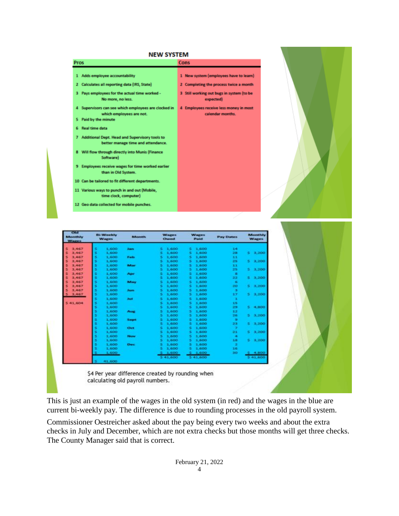#### **NEW SYSTEM**

| Pros                         |                                                                                      | Cons                                                       |  |  |  |  |
|------------------------------|--------------------------------------------------------------------------------------|------------------------------------------------------------|--|--|--|--|
| 1                            | Adds employee accountability                                                         | 1 New system (employees have to learn)                     |  |  |  |  |
| 2.                           | Calculates all reporting data (IRS, State)                                           | Completing the process twice a month<br>2                  |  |  |  |  |
| з                            | Pays employees for the actual time worked -<br>No more, no less.                     | 3 Still working out bugs in system (to be<br>expected)     |  |  |  |  |
| 4<br>Paid by the minute<br>5 | Supervisors can see which employees are clocked in<br>which employees are not.       | 4 Employees receive less money in most<br>calendar months. |  |  |  |  |
| <b>Real time data</b><br>6   |                                                                                      |                                                            |  |  |  |  |
| 7                            | Additional Dept. Head and Supervisory tools to<br>better manage time and attendance. |                                                            |  |  |  |  |
| 8                            | Will flow through directly into Munis (Finance<br>Software)                          |                                                            |  |  |  |  |
| э                            | Employees receive wages for time worked earlier<br>than in Old System.               |                                                            |  |  |  |  |
|                              | 10 Can be tailored to fit different departments.                                     |                                                            |  |  |  |  |
|                              | 11 Various ways to punch in and out (Mobile,<br>time clock, computer)                |                                                            |  |  |  |  |
|                              | 12 Geo data collected for mobile punches.                                            |                                                            |  |  |  |  |





\$4 Per year difference created by rounding when calculating old payroll numbers.

This is just an example of the wages in the old system (in red) and the wages in the blue are current bi-weekly pay. The difference is due to rounding processes in the old payroll system.

Commissioner Oestreicher asked about the pay being every two weeks and about the extra checks in July and December, which are not extra checks but those months will get three checks. The County Manager said that is correct.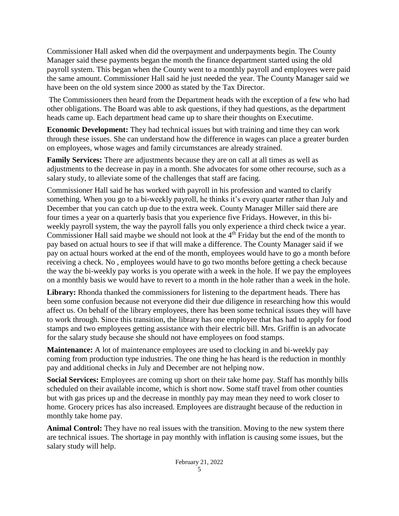Commissioner Hall asked when did the overpayment and underpayments begin. The County Manager said these payments began the month the finance department started using the old payroll system. This began when the County went to a monthly payroll and employees were paid the same amount. Commissioner Hall said he just needed the year. The County Manager said we have been on the old system since 2000 as stated by the Tax Director.

The Commissioners then heard from the Department heads with the exception of a few who had other obligations. The Board was able to ask questions, if they had questions, as the department heads came up. Each department head came up to share their thoughts on Executime.

**Economic Development:** They had technical issues but with training and time they can work through these issues. She can understand how the difference in wages can place a greater burden on employees, whose wages and family circumstances are already strained.

**Family Services:** There are adjustments because they are on call at all times as well as adjustments to the decrease in pay in a month. She advocates for some other recourse, such as a salary study, to alleviate some of the challenges that staff are facing.

Commissioner Hall said he has worked with payroll in his profession and wanted to clarify something. When you go to a bi-weekly payroll, he thinks it's every quarter rather than July and December that you can catch up due to the extra week. County Manager Miller said there are four times a year on a quarterly basis that you experience five Fridays. However, in this biweekly payroll system, the way the payroll falls you only experience a third check twice a year. Commissioner Hall said maybe we should not look at the 4<sup>th</sup> Friday but the end of the month to pay based on actual hours to see if that will make a difference. The County Manager said if we pay on actual hours worked at the end of the month, employees would have to go a month before receiving a check. No , employees would have to go two months before getting a check because the way the bi-weekly pay works is you operate with a week in the hole. If we pay the employees on a monthly basis we would have to revert to a month in the hole rather than a week in the hole.

**Library:** Rhonda thanked the commissioners for listening to the department heads. There has been some confusion because not everyone did their due diligence in researching how this would affect us. On behalf of the library employees, there has been some technical issues they will have to work through. Since this transition, the library has one employee that has had to apply for food stamps and two employees getting assistance with their electric bill. Mrs. Griffin is an advocate for the salary study because she should not have employees on food stamps.

**Maintenance:** A lot of maintenance employees are used to clocking in and bi-weekly pay coming from production type industries. The one thing he has heard is the reduction in monthly pay and additional checks in July and December are not helping now.

**Social Services:** Employees are coming up short on their take home pay. Staff has monthly bills scheduled on their available income, which is short now. Some staff travel from other counties but with gas prices up and the decrease in monthly pay may mean they need to work closer to home. Grocery prices has also increased. Employees are distraught because of the reduction in monthly take home pay.

**Animal Control:** They have no real issues with the transition. Moving to the new system there are technical issues. The shortage in pay monthly with inflation is causing some issues, but the salary study will help.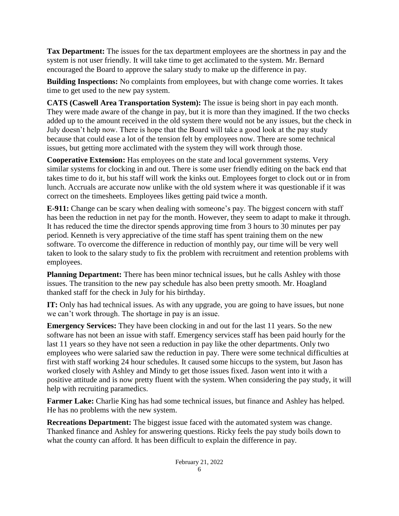**Tax Department:** The issues for the tax department employees are the shortness in pay and the system is not user friendly. It will take time to get acclimated to the system. Mr. Bernard encouraged the Board to approve the salary study to make up the difference in pay.

**Building Inspections:** No complaints from employees, but with change come worries. It takes time to get used to the new pay system.

**CATS (Caswell Area Transportation System):** The issue is being short in pay each month. They were made aware of the change in pay, but it is more than they imagined. If the two checks added up to the amount received in the old system there would not be any issues, but the check in July doesn't help now. There is hope that the Board will take a good look at the pay study because that could ease a lot of the tension felt by employees now. There are some technical issues, but getting more acclimated with the system they will work through those.

**Cooperative Extension:** Has employees on the state and local government systems. Very similar systems for clocking in and out. There is some user friendly editing on the back end that takes time to do it, but his staff will work the kinks out. Employees forget to clock out or in from lunch. Accruals are accurate now unlike with the old system where it was questionable if it was correct on the timesheets. Employees likes getting paid twice a month.

**E-911:** Change can be scary when dealing with someone's pay. The biggest concern with staff has been the reduction in net pay for the month. However, they seem to adapt to make it through. It has reduced the time the director spends approving time from 3 hours to 30 minutes per pay period. Kenneth is very appreciative of the time staff has spent training them on the new software. To overcome the difference in reduction of monthly pay, our time will be very well taken to look to the salary study to fix the problem with recruitment and retention problems with employees.

**Planning Department:** There has been minor technical issues, but he calls Ashley with those issues. The transition to the new pay schedule has also been pretty smooth. Mr. Hoagland thanked staff for the check in July for his birthday.

**IT:** Only has had technical issues. As with any upgrade, you are going to have issues, but none we can't work through. The shortage in pay is an issue.

**Emergency Services:** They have been clocking in and out for the last 11 years. So the new software has not been an issue with staff. Emergency services staff has been paid hourly for the last 11 years so they have not seen a reduction in pay like the other departments. Only two employees who were salaried saw the reduction in pay. There were some technical difficulties at first with staff working 24 hour schedules. It caused some hiccups to the system, but Jason has worked closely with Ashley and Mindy to get those issues fixed. Jason went into it with a positive attitude and is now pretty fluent with the system. When considering the pay study, it will help with recruiting paramedics.

**Farmer Lake:** Charlie King has had some technical issues, but finance and Ashley has helped. He has no problems with the new system.

**Recreations Department:** The biggest issue faced with the automated system was change. Thanked finance and Ashley for answering questions. Ricky feels the pay study boils down to what the county can afford. It has been difficult to explain the difference in pay.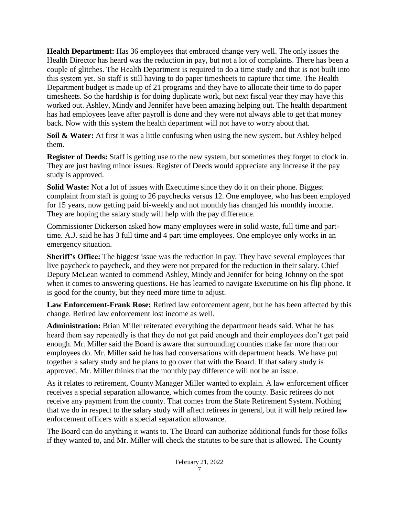**Health Department:** Has 36 employees that embraced change very well. The only issues the Health Director has heard was the reduction in pay, but not a lot of complaints. There has been a couple of glitches. The Health Department is required to do a time study and that is not built into this system yet. So staff is still having to do paper timesheets to capture that time. The Health Department budget is made up of 21 programs and they have to allocate their time to do paper timesheets. So the hardship is for doing duplicate work, but next fiscal year they may have this worked out. Ashley, Mindy and Jennifer have been amazing helping out. The health department has had employees leave after payroll is done and they were not always able to get that money back. Now with this system the health department will not have to worry about that.

**Soil & Water:** At first it was a little confusing when using the new system, but Ashley helped them.

**Register of Deeds:** Staff is getting use to the new system, but sometimes they forget to clock in. They are just having minor issues. Register of Deeds would appreciate any increase if the pay study is approved.

**Solid Waste:** Not a lot of issues with Executime since they do it on their phone. Biggest complaint from staff is going to 26 paychecks versus 12. One employee, who has been employed for 15 years, now getting paid bi-weekly and not monthly has changed his monthly income. They are hoping the salary study will help with the pay difference.

Commissioner Dickerson asked how many employees were in solid waste, full time and parttime. A.J. said he has 3 full time and 4 part time employees. One employee only works in an emergency situation.

**Sheriff's Office:** The biggest issue was the reduction in pay. They have several employees that live paycheck to paycheck, and they were not prepared for the reduction in their salary. Chief Deputy McLean wanted to commend Ashley, Mindy and Jennifer for being Johnny on the spot when it comes to answering questions. He has learned to navigate Executime on his flip phone. It is good for the county, but they need more time to adjust.

**Law Enforcement-Frank Rose:** Retired law enforcement agent, but he has been affected by this change. Retired law enforcement lost income as well.

**Administration:** Brian Miller reiterated everything the department heads said. What he has heard them say repeatedly is that they do not get paid enough and their employees don't get paid enough. Mr. Miller said the Board is aware that surrounding counties make far more than our employees do. Mr. Miller said he has had conversations with department heads. We have put together a salary study and he plans to go over that with the Board. If that salary study is approved, Mr. Miller thinks that the monthly pay difference will not be an issue.

As it relates to retirement, County Manager Miller wanted to explain. A law enforcement officer receives a special separation allowance, which comes from the county. Basic retirees do not receive any payment from the county. That comes from the State Retirement System. Nothing that we do in respect to the salary study will affect retirees in general, but it will help retired law enforcement officers with a special separation allowance.

The Board can do anything it wants to. The Board can authorize additional funds for those folks if they wanted to, and Mr. Miller will check the statutes to be sure that is allowed. The County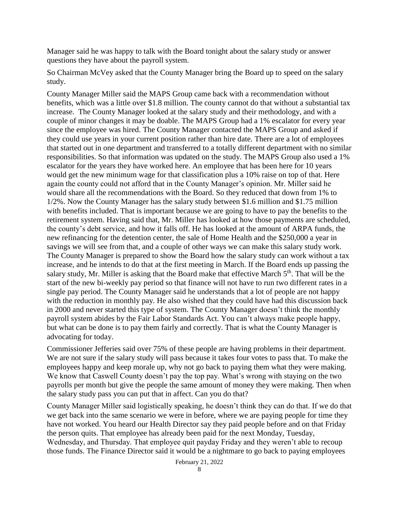Manager said he was happy to talk with the Board tonight about the salary study or answer questions they have about the payroll system.

So Chairman McVey asked that the County Manager bring the Board up to speed on the salary study.

County Manager Miller said the MAPS Group came back with a recommendation without benefits, which was a little over \$1.8 million. The county cannot do that without a substantial tax increase. The County Manager looked at the salary study and their methodology, and with a couple of minor changes it may be doable. The MAPS Group had a 1% escalator for every year since the employee was hired. The County Manager contacted the MAPS Group and asked if they could use years in your current position rather than hire date. There are a lot of employees that started out in one department and transferred to a totally different department with no similar responsibilities. So that information was updated on the study. The MAPS Group also used a 1% escalator for the years they have worked here. An employee that has been here for 10 years would get the new minimum wage for that classification plus a 10% raise on top of that. Here again the county could not afford that in the County Manager's opinion. Mr. Miller said he would share all the recommendations with the Board. So they reduced that down from 1% to 1/2%. Now the County Manager has the salary study between \$1.6 million and \$1.75 million with benefits included. That is important because we are going to have to pay the benefits to the retirement system. Having said that, Mr. Miller has looked at how those payments are scheduled, the county's debt service, and how it falls off. He has looked at the amount of ARPA funds, the new refinancing for the detention center, the sale of Home Health and the \$250,000 a year in savings we will see from that, and a couple of other ways we can make this salary study work. The County Manager is prepared to show the Board how the salary study can work without a tax increase, and he intends to do that at the first meeting in March. If the Board ends up passing the salary study, Mr. Miller is asking that the Board make that effective March 5<sup>th</sup>. That will be the start of the new bi-weekly pay period so that finance will not have to run two different rates in a single pay period. The County Manager said he understands that a lot of people are not happy with the reduction in monthly pay. He also wished that they could have had this discussion back in 2000 and never started this type of system. The County Manager doesn't think the monthly payroll system abides by the Fair Labor Standards Act. You can't always make people happy, but what can be done is to pay them fairly and correctly. That is what the County Manager is advocating for today.

Commissioner Jefferies said over 75% of these people are having problems in their department. We are not sure if the salary study will pass because it takes four votes to pass that. To make the employees happy and keep morale up, why not go back to paying them what they were making. We know that Caswell County doesn't pay the top pay. What's wrong with staying on the two payrolls per month but give the people the same amount of money they were making. Then when the salary study pass you can put that in affect. Can you do that?

County Manager Miller said logistically speaking, he doesn't think they can do that. If we do that we get back into the same scenario we were in before, where we are paying people for time they have not worked. You heard our Health Director say they paid people before and on that Friday the person quits. That employee has already been paid for the next Monday, Tuesday, Wednesday, and Thursday. That employee quit payday Friday and they weren't able to recoup those funds. The Finance Director said it would be a nightmare to go back to paying employees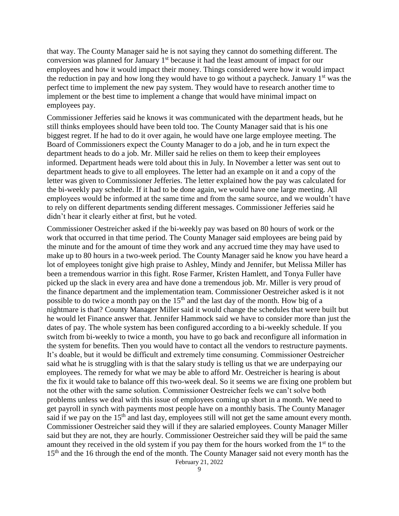that way. The County Manager said he is not saying they cannot do something different. The conversion was planned for January  $1<sup>st</sup>$  because it had the least amount of impact for our employees and how it would impact their money. Things considered were how it would impact the reduction in pay and how long they would have to go without a paycheck. January  $1<sup>st</sup>$  was the perfect time to implement the new pay system. They would have to research another time to implement or the best time to implement a change that would have minimal impact on employees pay.

Commissioner Jefferies said he knows it was communicated with the department heads, but he still thinks employees should have been told too. The County Manager said that is his one biggest regret. If he had to do it over again, he would have one large employee meeting. The Board of Commissioners expect the County Manager to do a job, and he in turn expect the department heads to do a job. Mr. Miller said he relies on them to keep their employees informed. Department heads were told about this in July. In November a letter was sent out to department heads to give to all employees. The letter had an example on it and a copy of the letter was given to Commissioner Jefferies. The letter explained how the pay was calculated for the bi-weekly pay schedule. If it had to be done again, we would have one large meeting. All employees would be informed at the same time and from the same source, and we wouldn't have to rely on different departments sending different messages. Commissioner Jefferies said he didn't hear it clearly either at first, but he voted.

Commissioner Oestreicher asked if the bi-weekly pay was based on 80 hours of work or the work that occurred in that time period. The County Manager said employees are being paid by the minute and for the amount of time they work and any accrued time they may have used to make up to 80 hours in a two-week period. The County Manager said he know you have heard a lot of employees tonight give high praise to Ashley, Mindy and Jennifer, but Melissa Miller has been a tremendous warrior in this fight. Rose Farmer, Kristen Hamlett, and Tonya Fuller have picked up the slack in every area and have done a tremendous job. Mr. Miller is very proud of the finance department and the implementation team. Commissioner Oestreicher asked is it not possible to do twice a month pay on the  $15<sup>th</sup>$  and the last day of the month. How big of a nightmare is that? County Manager Miller said it would change the schedules that were built but he would let Finance answer that. Jennifer Hammock said we have to consider more than just the dates of pay. The whole system has been configured according to a bi-weekly schedule. If you switch from bi-weekly to twice a month, you have to go back and reconfigure all information in the system for benefits. Then you would have to contact all the vendors to restructure payments. It's doable, but it would be difficult and extremely time consuming. Commissioner Oestreicher said what he is struggling with is that the salary study is telling us that we are underpaying our employees. The remedy for what we may be able to afford Mr. Oestreicher is hearing is about the fix it would take to balance off this two-week deal. So it seems we are fixing one problem but not the other with the same solution. Commissioner Oestreicher feels we can't solve both problems unless we deal with this issue of employees coming up short in a month. We need to get payroll in synch with payments most people have on a monthly basis. The County Manager said if we pay on the 15<sup>th</sup> and last day, employees still will not get the same amount every month. Commissioner Oestreicher said they will if they are salaried employees. County Manager Miller said but they are not, they are hourly. Commissioner Oestreicher said they will be paid the same amount they received in the old system if you pay them for the hours worked from the 1<sup>st</sup> to the 15<sup>th</sup> and the 16 through the end of the month. The County Manager said not every month has the